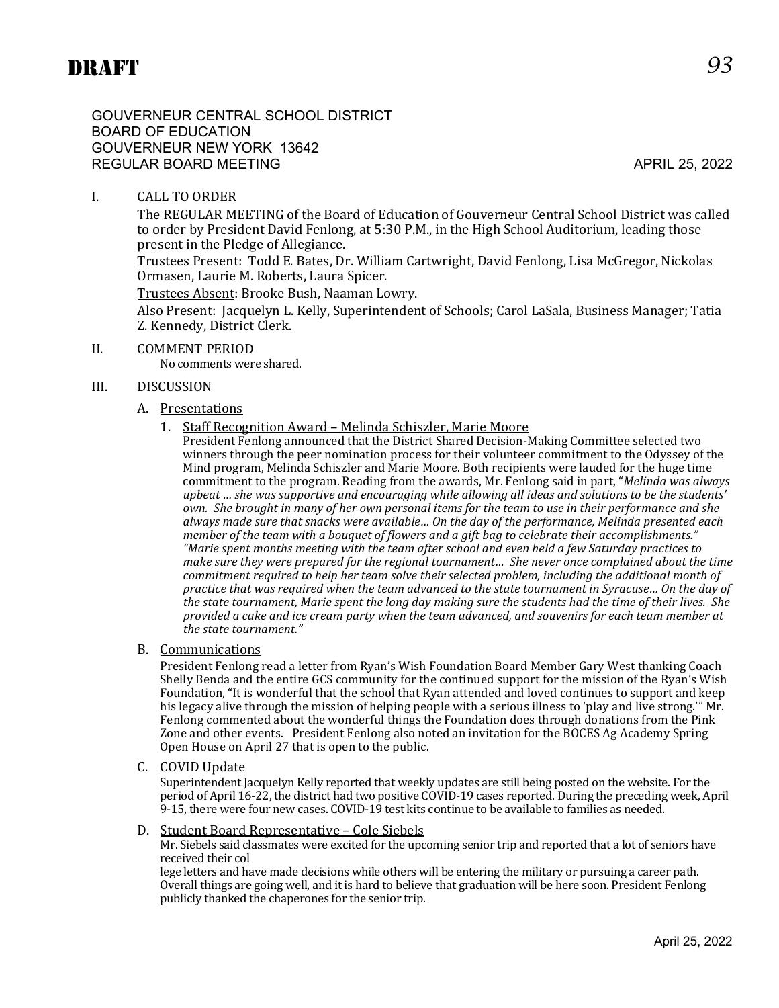GOUVERNEUR CENTRAL SCHOOL DISTRICT BOARD OF EDUCATION GOUVERNEUR NEW YORK 13642 REGULAR BOARD MEETING APRIL 25, 2022

# I. CALL TO ORDER

The REGULAR MEETING of the Board of Education of Gouverneur Central School District was called to order by President David Fenlong, at 5:30 P.M., in the High School Auditorium, leading those present in the Pledge of Allegiance.

Trustees Present: Todd E. Bates, Dr. William Cartwright, David Fenlong, Lisa McGregor, Nickolas Ormasen, Laurie M. Roberts, Laura Spicer.

Trustees Absent: Brooke Bush, Naaman Lowry.

Also Present: Jacquelyn L. Kelly, Superintendent of Schools; Carol LaSala, Business Manager; Tatia Z. Kennedy, District Clerk.

II. COMMENT PERIOD

No comments were shared.

#### III. DISCUSSION

#### A. Presentations

1. Staff Recognition Award – Melinda Schiszler, Marie Moore

President Fenlong announced that the District Shared Decision-Making Committee selected two winners through the peer nomination process for their volunteer commitment to the Odyssey of the Mind program, Melinda Schiszler and Marie Moore. Both recipients were lauded for the huge time commitment to the program. Reading from the awards, Mr. Fenlong said in part, "*Melinda was always upbeat … she was supportive and encouraging while allowing all ideas and solutions to be the students' own. She brought in many of her own personal items for the team to use in their performance and she always made sure that snacks were available… On the day of the performance, Melinda presented each member of the team with a bouquet of flowers and a gift bag to celebrate their accomplishments." "Marie spent months meeting with the team after school and even held a few Saturday practices to make sure they were prepared for the regional tournament… She never once complained about the time commitment required to help her team solve their selected problem, including the additional month of practice that was required when the team advanced to the state tournament in Syracuse… On the day of the state tournament, Marie spent the long day making sure the students had the time of their lives. She provided a cake and ice cream party when the team advanced, and souvenirs for each team member at the state tournament."*

#### B. Communications

President Fenlong read a letter from Ryan's Wish Foundation Board Member Gary West thanking Coach Shelly Benda and the entire GCS community for the continued support for the mission of the Ryan's Wish Foundation, "It is wonderful that the school that Ryan attended and loved continues to support and keep his legacy alive through the mission of helping people with a serious illness to 'play and live strong." Mr. Fenlong commented about the wonderful things the Foundation does through donations from the Pink Zone and other events. President Fenlong also noted an invitation for the BOCES Ag Academy Spring Open House on April 27 that is open to the public.

C. COVID Update

Superintendent Jacquelyn Kelly reported that weekly updates are still being posted on the website. For the period of April 16-22, the district had two positive COVID-19 cases reported. During the preceding week, April 9-15, there were four new cases. COVID-19 test kits continue to be available to families as needed.

D. Student Board Representative – Cole Siebels

Mr. Siebels said classmates were excited for the upcoming senior trip and reported that a lot of seniors have received their col

lege letters and have made decisions while others will be entering the military or pursuing a career path. Overall things are going well, and it is hard to believe that graduation will be here soon. President Fenlong publicly thanked the chaperones for the senior trip.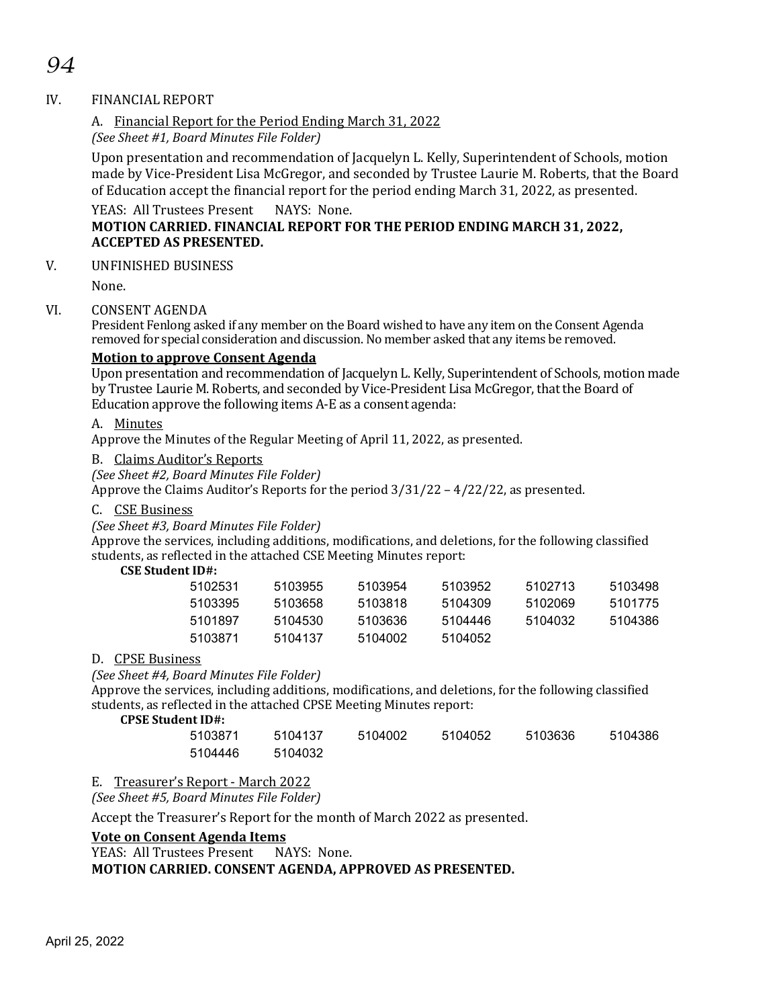# *94*

## IV. FINANCIAL REPORT

# A. Financial Report for the Period Ending March 31, 2022

*(See Sheet #1, Board Minutes File Folder)*

Upon presentation and recommendation of Jacquelyn L. Kelly, Superintendent of Schools, motion made by Vice-President Lisa McGregor, and seconded by Trustee Laurie M. Roberts, that the Board of Education accept the financial report for the period ending March 31, 2022, as presented.

# YEAS: All Trustees Present NAYS: None.

# **MOTION CARRIED. FINANCIAL REPORT FOR THE PERIOD ENDING MARCH 31, 2022, ACCEPTED AS PRESENTED.**

# V. UNFINISHED BUSINESS

None.

# VI. CONSENT AGENDA

President Fenlong asked if any member on the Board wished to have any item on the Consent Agenda removed for special consideration and discussion. No member asked that any items be removed.

# **Motion to approve Consent Agenda**

Upon presentation and recommendation of Jacquelyn L. Kelly, Superintendent of Schools, motion made by Trustee Laurie M. Roberts, and seconded by Vice-President Lisa McGregor, that the Board of Education approve the following items A-E as a consent agenda:

#### A. Minutes

Approve the Minutes of the Regular Meeting of April 11, 2022, as presented.

#### B. Claims Auditor's Reports

*(See Sheet #2, Board Minutes File Folder)*

Approve the Claims Auditor's Reports for the period 3/31/22 – 4/22/22, as presented.

#### C. CSE Business

*(See Sheet #3, Board Minutes File Folder)*

Approve the services, including additions, modifications, and deletions, for the following classified students, as reflected in the attached CSE Meeting Minutes report:

# **CSE Student ID#:**

| 5103955 | 5103954 | 5103952 | 5102713 | 5103498 |
|---------|---------|---------|---------|---------|
| 5103658 | 5103818 | 5104309 | 5102069 | 5101775 |
| 5104530 | 5103636 | 5104446 | 5104032 | 5104386 |
| 5104137 | 5104002 | 5104052 |         |         |
|         |         |         |         |         |

#### D. CPSE Business

#### *(See Sheet #4, Board Minutes File Folder)*

Approve the services, including additions, modifications, and deletions, for the following classified students, as reflected in the attached CPSE Meeting Minutes report:

#### **CPSE Student ID#:**

| 5103871 | 5104137 | 5104002 | 5104052 | 5103636 | 5104386 |
|---------|---------|---------|---------|---------|---------|
| 5104446 | 5104032 |         |         |         |         |

E. Treasurer's Report - March 2022

*(See Sheet #5, Board Minutes File Folder)*

Accept the Treasurer's Report for the month of March 2022 as presented.

#### **Vote on Consent Agenda Items**

YEAS: All Trustees Present NAYS: None.

#### **MOTION CARRIED. CONSENT AGENDA, APPROVED AS PRESENTED.**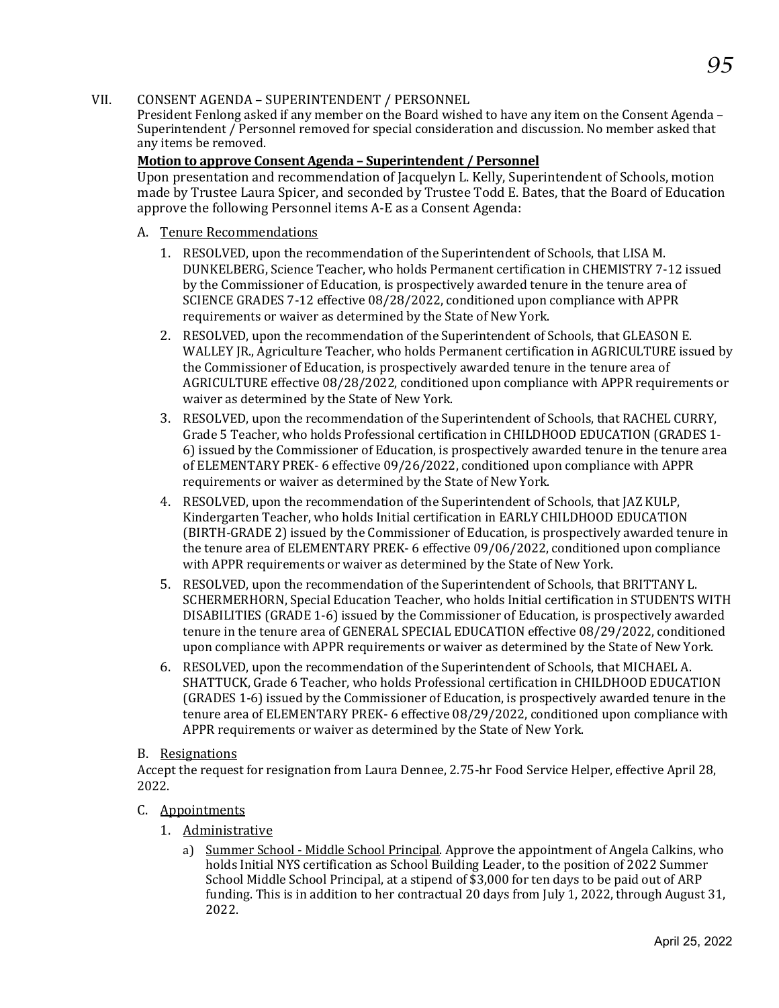#### VII. CONSENT AGENDA – SUPERINTENDENT / PERSONNEL

President Fenlong asked if any member on the Board wished to have any item on the Consent Agenda – Superintendent / Personnel removed for special consideration and discussion. No member asked that any items be removed.

### **Motion to approve Consent Agenda – Superintendent / Personnel**

Upon presentation and recommendation of Jacquelyn L. Kelly, Superintendent of Schools, motion made by Trustee Laura Spicer, and seconded by Trustee Todd E. Bates, that the Board of Education approve the following Personnel items A-E as a Consent Agenda:

- A. Tenure Recommendations
	- 1. RESOLVED, upon the recommendation of the Superintendent of Schools, that LISA M. DUNKELBERG, Science Teacher, who holds Permanent certification in CHEMISTRY 7-12 issued by the Commissioner of Education, is prospectively awarded tenure in the tenure area of SCIENCE GRADES 7-12 effective 08/28/2022, conditioned upon compliance with APPR requirements or waiver as determined by the State of New York.
	- 2. RESOLVED, upon the recommendation of the Superintendent of Schools, that GLEASON E. WALLEY JR., Agriculture Teacher, who holds Permanent certification in AGRICULTURE issued by the Commissioner of Education, is prospectively awarded tenure in the tenure area of AGRICULTURE effective 08/28/2022, conditioned upon compliance with APPR requirements or waiver as determined by the State of New York.
	- 3. RESOLVED, upon the recommendation of the Superintendent of Schools, that RACHEL CURRY, Grade 5 Teacher, who holds Professional certification in CHILDHOOD EDUCATION (GRADES 1- 6) issued by the Commissioner of Education, is prospectively awarded tenure in the tenure area of ELEMENTARY PREK- 6 effective 09/26/2022, conditioned upon compliance with APPR requirements or waiver as determined by the State of New York.
	- 4. RESOLVED, upon the recommendation of the Superintendent of Schools, that JAZ KULP, Kindergarten Teacher, who holds Initial certification in EARLY CHILDHOOD EDUCATION (BIRTH-GRADE 2) issued by the Commissioner of Education, is prospectively awarded tenure in the tenure area of ELEMENTARY PREK- 6 effective 09/06/2022, conditioned upon compliance with APPR requirements or waiver as determined by the State of New York.
	- 5. RESOLVED, upon the recommendation of the Superintendent of Schools, that BRITTANY L. SCHERMERHORN, Special Education Teacher, who holds Initial certification in STUDENTS WITH DISABILITIES (GRADE 1-6) issued by the Commissioner of Education, is prospectively awarded tenure in the tenure area of GENERAL SPECIAL EDUCATION effective 08/29/2022, conditioned upon compliance with APPR requirements or waiver as determined by the State of New York.
	- 6. RESOLVED, upon the recommendation of the Superintendent of Schools, that MICHAEL A. SHATTUCK, Grade 6 Teacher, who holds Professional certification in CHILDHOOD EDUCATION (GRADES 1-6) issued by the Commissioner of Education, is prospectively awarded tenure in the tenure area of ELEMENTARY PREK- 6 effective 08/29/2022, conditioned upon compliance with APPR requirements or waiver as determined by the State of New York.

#### B. Resignations

Accept the request for resignation from Laura Dennee, 2.75-hr Food Service Helper, effective April 28, 2022.

- C. Appointments
	- 1. Administrative
		- a) Summer School Middle School Principal. Approve the appointment of Angela Calkins, who holds Initial NYS certification as School Building Leader, to the position of 2022 Summer School Middle School Principal, at a stipend of \$3,000 for ten days to be paid out of ARP funding. This is in addition to her contractual 20 days from July 1, 2022, through August 31, 2022.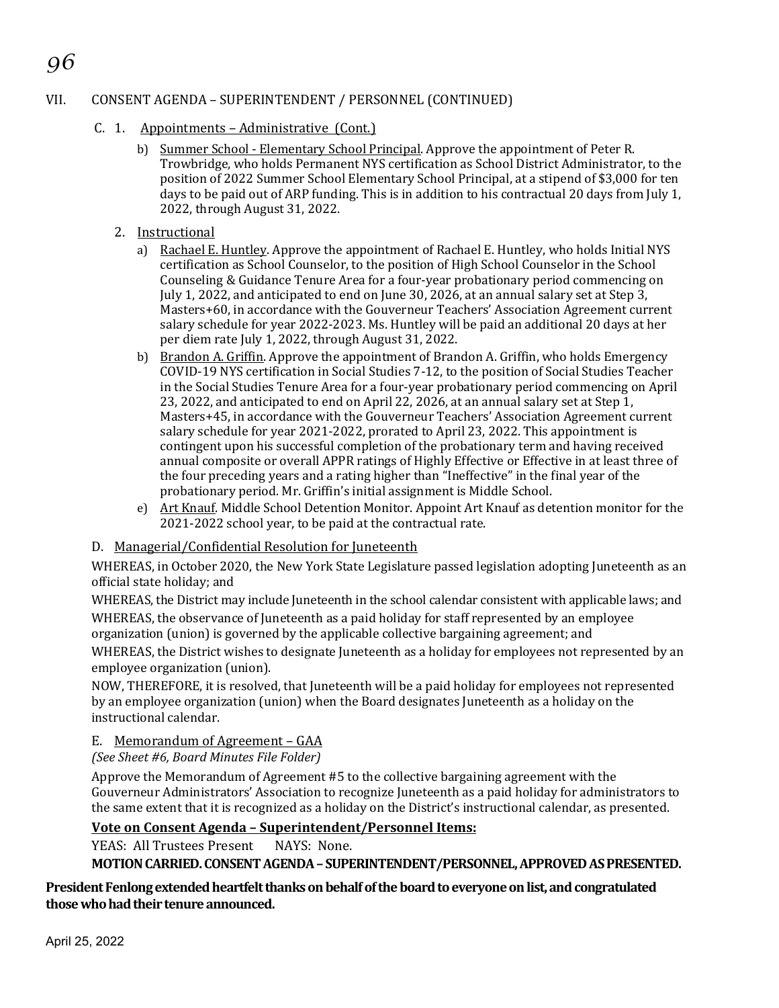# VII. CONSENT AGENDA – SUPERINTENDENT / PERSONNEL (CONTINUED)

- C. 1. Appointments Administrative (Cont.)
	- b) Summer School Elementary School Principal. Approve the appointment of Peter R. Trowbridge, who holds Permanent NYS certification as School District Administrator, to the position of 2022 Summer School Elementary School Principal, at a stipend of \$3,000 for ten days to be paid out of ARP funding. This is in addition to his contractual 20 days from July 1, 2022, through August 31, 2022.
	- 2. Instructional

*96*

- a) Rachael E. Huntley. Approve the appointment of Rachael E. Huntley, who holds Initial NYS certification as School Counselor, to the position of High School Counselor in the School Counseling & Guidance Tenure Area for a four-year probationary period commencing on July 1, 2022, and anticipated to end on June 30, 2026, at an annual salary set at Step 3, Masters+60, in accordance with the Gouverneur Teachers' Association Agreement current salary schedule for year 2022-2023. Ms. Huntley will be paid an additional 20 days at her per diem rate July 1, 2022, through August 31, 2022.
- b) Brandon A. Griffin. Approve the appointment of Brandon A. Griffin, who holds Emergency COVID-19 NYS certification in Social Studies 7-12, to the position of Social Studies Teacher in the Social Studies Tenure Area for a four-year probationary period commencing on April 23, 2022, and anticipated to end on April 22, 2026, at an annual salary set at Step  $\overline{1}$ , Masters+45, in accordance with the Gouverneur Teachers' Association Agreement current salary schedule for year 2021-2022, prorated to April 23, 2022. This appointment is contingent upon his successful completion of the probationary term and having received annual composite or overall APPR ratings of Highly Effective or Effective in at least three of the four preceding years and a rating higher than "Ineffective" in the final year of the probationary period. Mr. Griffin's initial assignment is Middle School.
- e) Art Knauf. Middle School Detention Monitor. Appoint Art Knauf as detention monitor for the 2021-2022 school year, to be paid at the contractual rate.

#### D. Managerial/Confidential Resolution for Juneteenth

WHEREAS, in October 2020, the New York State Legislature passed legislation adopting Juneteenth as an official state holiday; and

WHEREAS, the District may include Juneteenth in the school calendar consistent with applicable laws; and WHEREAS, the observance of Juneteenth as a paid holiday for staff represented by an employee organization (union) is governed by the applicable collective bargaining agreement; and

WHEREAS, the District wishes to designate Juneteenth as a holiday for employees not represented by an employee organization (union).

NOW, THEREFORE, it is resolved, that Juneteenth will be a paid holiday for employees not represented by an employee organization (union) when the Board designates Juneteenth as a holiday on the instructional calendar.

#### E. Memorandum of Agreement – GAA

*(See Sheet #6, Board Minutes File Folder)*

Approve the Memorandum of Agreement #5 to the collective bargaining agreement with the Gouverneur Administrators' Association to recognize Juneteenth as a paid holiday for administrators to the same extent that it is recognized as a holiday on the District's instructional calendar, as presented.

# **Vote on Consent Agenda – Superintendent/Personnel Items:**

YEAS: All Trustees Present NAYS: None.

**MOTION CARRIED. CONSENT AGENDA – SUPERINTENDENT/PERSONNEL,APPROVED AS PRESENTED.**

#### **President Fenlong extendedheartfelt thanks on behalf of the board to everyone on list, and congratulated those who had their tenure announced.**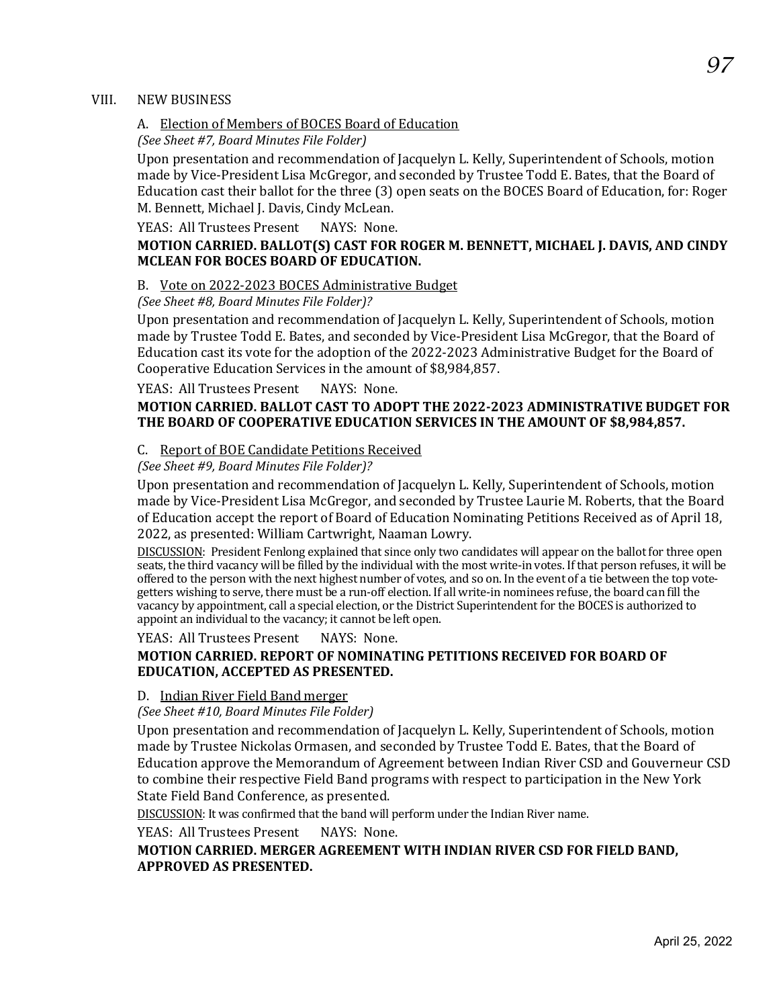#### VIII. NEW BUSINESS

## A. Election of Members of BOCES Board of Education

*(See Sheet #7, Board Minutes File Folder)*

Upon presentation and recommendation of Jacquelyn L. Kelly, Superintendent of Schools, motion made by Vice-President Lisa McGregor, and seconded by Trustee Todd E. Bates, that the Board of Education cast their ballot for the three (3) open seats on the BOCES Board of Education, for: Roger M. Bennett, Michael J. Davis, Cindy McLean.

#### YEAS: All Trustees Present NAYS: None.

# **MOTION CARRIED. BALLOT(S) CAST FOR ROGER M. BENNETT, MICHAEL J. DAVIS, AND CINDY MCLEAN FOR BOCES BOARD OF EDUCATION.**

#### B. Vote on 2022-2023 BOCES Administrative Budget

#### *(See Sheet #8, Board Minutes File Folder)?*

Upon presentation and recommendation of Jacquelyn L. Kelly, Superintendent of Schools, motion made by Trustee Todd E. Bates, and seconded by Vice-President Lisa McGregor, that the Board of Education cast its vote for the adoption of the 2022-2023 Administrative Budget for the Board of Cooperative Education Services in the amount of \$8,984,857.

YEAS: All Trustees Present NAYS: None.

#### **MOTION CARRIED. BALLOT CAST TO ADOPT THE 2022-2023 ADMINISTRATIVE BUDGET FOR THE BOARD OF COOPERATIVE EDUCATION SERVICES IN THE AMOUNT OF \$8,984,857.**

#### C. Report of BOE Candidate Petitions Received

#### *(See Sheet #9, Board Minutes File Folder)?*

Upon presentation and recommendation of Jacquelyn L. Kelly, Superintendent of Schools, motion made by Vice-President Lisa McGregor, and seconded by Trustee Laurie M. Roberts, that the Board of Education accept the report of Board of Education Nominating Petitions Received as of April 18, 2022, as presented: William Cartwright, Naaman Lowry.

DISCUSSION: President Fenlong explained that since only two candidates will appear on the ballot for three open seats, the third vacancy will be filled by the individual with the most write-in votes. If that person refuses, it will be offered to the person with the next highest number of votes, and so on. In the event of a tie between the top votegetters wishing to serve, there must be a run-off election. If all write-in nominees refuse, the board can fill the vacancy by appointment, call a special election, or the District Superintendent for the BOCES is authorized to appoint an individual to the vacancy; it cannot be left open.

YEAS: All Trustees Present NAYS: None.

#### **MOTION CARRIED. REPORT OF NOMINATING PETITIONS RECEIVED FOR BOARD OF EDUCATION, ACCEPTED AS PRESENTED.**

#### D. Indian River Field Band merger

*(See Sheet #10, Board Minutes File Folder)*

Upon presentation and recommendation of Jacquelyn L. Kelly, Superintendent of Schools, motion made by Trustee Nickolas Ormasen, and seconded by Trustee Todd E. Bates, that the Board of Education approve the Memorandum of Agreement between Indian River CSD and Gouverneur CSD to combine their respective Field Band programs with respect to participation in the New York State Field Band Conference, as presented.

DISCUSSION: It was confirmed that the band will perform under the Indian River name.

YEAS: All Trustees Present NAYS: None.

# **MOTION CARRIED. MERGER AGREEMENT WITH INDIAN RIVER CSD FOR FIELD BAND, APPROVED AS PRESENTED.**